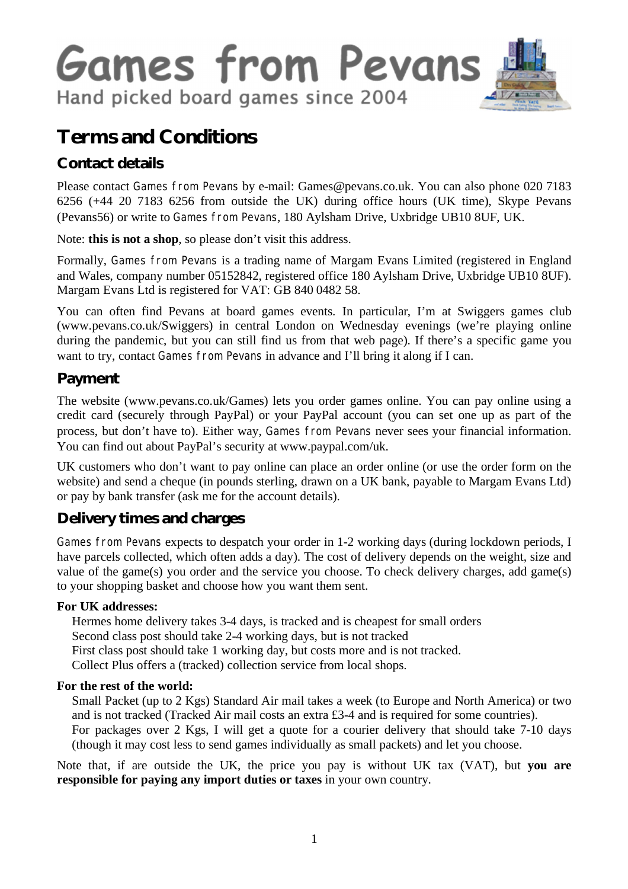

# **Terms and Conditions**

# **Contact details**

Please contact Games from Pevans by e-mail: Games@pevans.co.uk. You can also phone 020 7183 6256 (+44 20 7183 6256 from outside the UK) during office hours (UK time), Skype Pevans (Pevans56) or write to Games from Pevans, 180 Aylsham Drive, Uxbridge UB10 8UF, UK.

Note: **this is not a shop**, so please don't visit this address.

Formally, Games from Pevans is a trading name of Margam Evans Limited (registered in England and Wales, company number 05152842, registered office 180 Aylsham Drive, Uxbridge UB10 8UF). Margam Evans Ltd is registered for VAT: GB 840 0482 58.

You can often find Pevans at board games events. In particular, I'm at Swiggers games club (www.pevans.co.uk/Swiggers) in central London on Wednesday evenings (we're playing online during the pandemic, but you can still find us from that web page). If there's a specific game you want to try, contact Games from Pevans in advance and I'll bring it along if I can.

# **Payment**

The website (www.pevans.co.uk/Games) lets you order games online. You can pay online using a credit card (securely through PayPal) or your PayPal account (you can set one up as part of the process, but don't have to). Either way, Games from Pevans never sees your financial information. You can find out about PayPal's security at www.paypal.com/uk.

UK customers who don't want to pay online can place an order online (or use the order form on the website) and send a cheque (in pounds sterling, drawn on a UK bank, payable to Margam Evans Ltd) or pay by bank transfer (ask me for the account details).

# **Delivery times and charges**

Games from Pevans expects to despatch your order in 1-2 working days (during lockdown periods, I have parcels collected, which often adds a day). The cost of delivery depends on the weight, size and value of the game(s) you order and the service you choose. To check delivery charges, add game(s) to your shopping basket and choose how you want them sent.

#### **For UK addresses:**

Hermes home delivery takes 3-4 days, is tracked and is cheapest for small orders Second class post should take 2-4 working days, but is not tracked First class post should take 1 working day, but costs more and is not tracked. Collect Plus offers a (tracked) collection service from local shops.

#### **For the rest of the world:**

Small Packet (up to 2 Kgs) Standard Air mail takes a week (to Europe and North America) or two and is not tracked (Tracked Air mail costs an extra £3-4 and is required for some countries).

For packages over 2 Kgs, I will get a quote for a courier delivery that should take 7-10 days (though it may cost less to send games individually as small packets) and let you choose.

Note that, if are outside the UK, the price you pay is without UK tax (VAT), but **you are responsible for paying any import duties or taxes** in your own country.